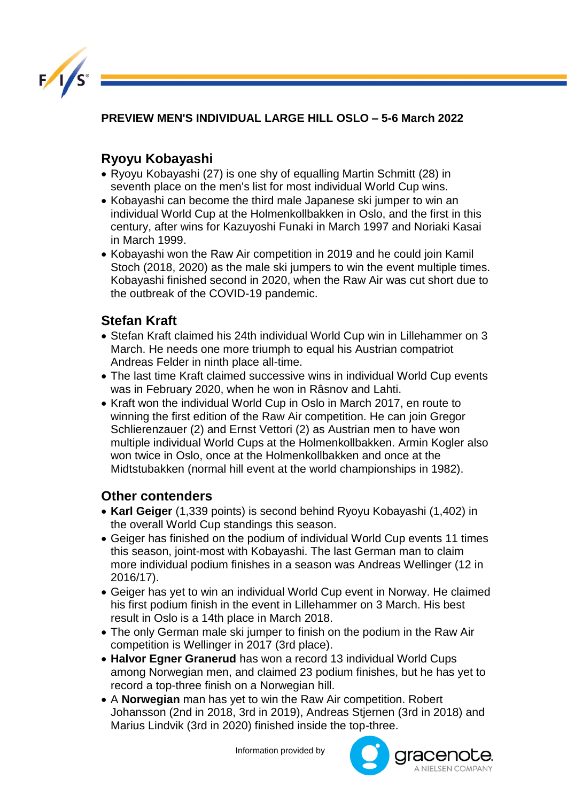

**PREVIEW MEN'S INDIVIDUAL LARGE HILL OSLO – 5-6 March 2022** 

## **Ryoyu Kobayashi**

- Ryoyu Kobayashi (27) is one shy of equalling Martin Schmitt (28) in seventh place on the men's list for most individual World Cup wins.
- Kobayashi can become the third male Japanese ski jumper to win an individual World Cup at the Holmenkollbakken in Oslo, and the first in this century, after wins for Kazuyoshi Funaki in March 1997 and Noriaki Kasai in March 1999.
- Kobayashi won the Raw Air competition in 2019 and he could join Kamil Stoch (2018, 2020) as the male ski jumpers to win the event multiple times. Kobayashi finished second in 2020, when the Raw Air was cut short due to the outbreak of the COVID-19 pandemic.

## **Stefan Kraft**

- Stefan Kraft claimed his 24th individual World Cup win in Lillehammer on 3 March. He needs one more triumph to equal his Austrian compatriot Andreas Felder in ninth place all-time.
- The last time Kraft claimed successive wins in individual World Cup events was in February 2020, when he won in Râsnov and Lahti.
- Kraft won the individual World Cup in Oslo in March 2017, en route to winning the first edition of the Raw Air competition. He can join Gregor Schlierenzauer (2) and Ernst Vettori (2) as Austrian men to have won multiple individual World Cups at the Holmenkollbakken. Armin Kogler also won twice in Oslo, once at the Holmenkollbakken and once at the Midtstubakken (normal hill event at the world championships in 1982).

## **Other contenders**

- **Karl Geiger** (1,339 points) is second behind Ryoyu Kobayashi (1,402) in the overall World Cup standings this season.
- Geiger has finished on the podium of individual World Cup events 11 times this season, joint-most with Kobayashi. The last German man to claim more individual podium finishes in a season was Andreas Wellinger (12 in 2016/17).
- Geiger has yet to win an individual World Cup event in Norway. He claimed his first podium finish in the event in Lillehammer on 3 March. His best result in Oslo is a 14th place in March 2018.
- The only German male ski jumper to finish on the podium in the Raw Air competition is Wellinger in 2017 (3rd place).
- **Halvor Egner Granerud** has won a record 13 individual World Cups among Norwegian men, and claimed 23 podium finishes, but he has yet to record a top-three finish on a Norwegian hill.
- A **Norwegian** man has yet to win the Raw Air competition. Robert Johansson (2nd in 2018, 3rd in 2019), Andreas Stjernen (3rd in 2018) and Marius Lindvik (3rd in 2020) finished inside the top-three.

Information provided by